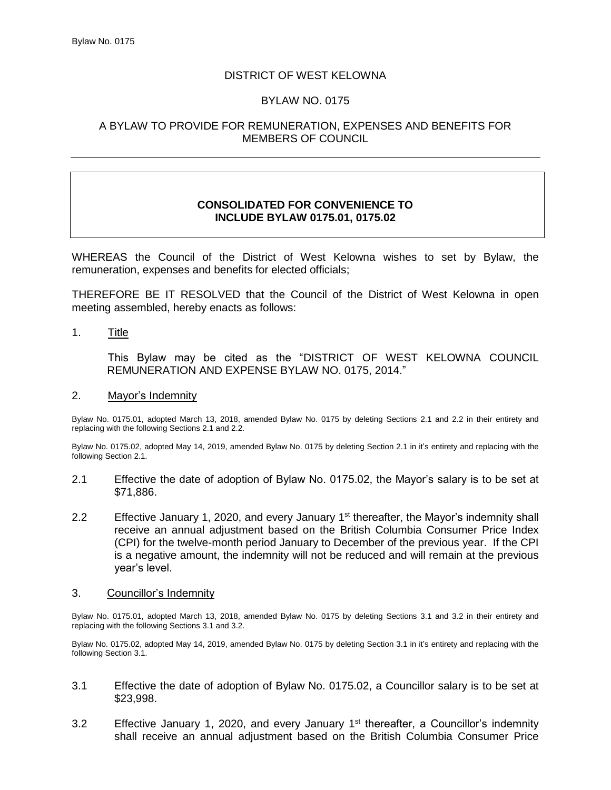# DISTRICT OF WEST KELOWNA

## BYLAW NO. 0175

## A BYLAW TO PROVIDE FOR REMUNERATION, EXPENSES AND BENEFITS FOR MEMBERS OF COUNCIL

## **CONSOLIDATED FOR CONVENIENCE TO INCLUDE BYLAW 0175.01, 0175.02**

WHEREAS the Council of the District of West Kelowna wishes to set by Bylaw, the remuneration, expenses and benefits for elected officials;

THEREFORE BE IT RESOLVED that the Council of the District of West Kelowna in open meeting assembled, hereby enacts as follows:

1. Title

This Bylaw may be cited as the "DISTRICT OF WEST KELOWNA COUNCIL REMUNERATION AND EXPENSE BYLAW NO. 0175, 2014."

#### 2. Mayor's Indemnity

Bylaw No. 0175.01, adopted March 13, 2018, amended Bylaw No. 0175 by deleting Sections 2.1 and 2.2 in their entirety and replacing with the following Sections 2.1 and 2.2.

Bylaw No. 0175.02, adopted May 14, 2019, amended Bylaw No. 0175 by deleting Section 2.1 in it's entirety and replacing with the following Section 2.1.

- 2.1 Effective the date of adoption of Bylaw No. 0175.02, the Mayor's salary is to be set at \$71,886.
- 2.2 Effective January 1, 2020, and every January 1<sup>st</sup> thereafter, the Mayor's indemnity shall receive an annual adjustment based on the British Columbia Consumer Price Index (CPI) for the twelve-month period January to December of the previous year. If the CPI is a negative amount, the indemnity will not be reduced and will remain at the previous year's level.

### 3. Councillor's Indemnity

Bylaw No. 0175.01, adopted March 13, 2018, amended Bylaw No. 0175 by deleting Sections 3.1 and 3.2 in their entirety and replacing with the following Sections 3.1 and 3.2.

Bylaw No. 0175.02, adopted May 14, 2019, amended Bylaw No. 0175 by deleting Section 3.1 in it's entirety and replacing with the following Section 3.1.

- 3.1 Effective the date of adoption of Bylaw No. 0175.02, a Councillor salary is to be set at \$23,998.
- 3.2 Effective January 1, 2020, and every January 1<sup>st</sup> thereafter, a Councillor's indemnity shall receive an annual adjustment based on the British Columbia Consumer Price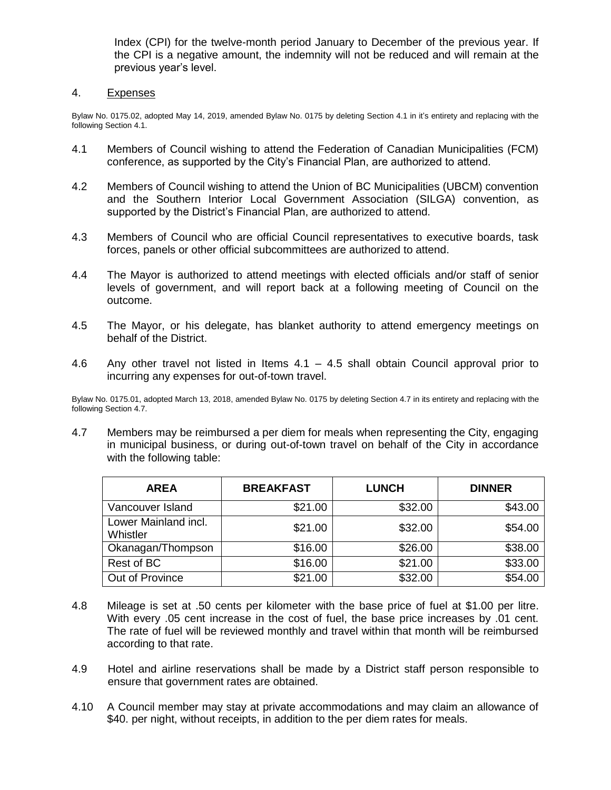Index (CPI) for the twelve-month period January to December of the previous year. If the CPI is a negative amount, the indemnity will not be reduced and will remain at the previous year's level.

## 4. Expenses

Bylaw No. 0175.02, adopted May 14, 2019, amended Bylaw No. 0175 by deleting Section 4.1 in it's entirety and replacing with the following Section 4.1.

- 4.1 Members of Council wishing to attend the Federation of Canadian Municipalities (FCM) conference, as supported by the City's Financial Plan, are authorized to attend.
- 4.2 Members of Council wishing to attend the Union of BC Municipalities (UBCM) convention and the Southern Interior Local Government Association (SILGA) convention, as supported by the District's Financial Plan, are authorized to attend.
- 4.3 Members of Council who are official Council representatives to executive boards, task forces, panels or other official subcommittees are authorized to attend.
- 4.4 The Mayor is authorized to attend meetings with elected officials and/or staff of senior levels of government, and will report back at a following meeting of Council on the outcome.
- 4.5 The Mayor, or his delegate, has blanket authority to attend emergency meetings on behalf of the District.
- 4.6 Any other travel not listed in Items 4.1 4.5 shall obtain Council approval prior to incurring any expenses for out-of-town travel.

Bylaw No. 0175.01, adopted March 13, 2018, amended Bylaw No. 0175 by deleting Section 4.7 in its entirety and replacing with the following Section 4.7.

4.7 Members may be reimbursed a per diem for meals when representing the City, engaging in municipal business, or during out-of-town travel on behalf of the City in accordance with the following table:

| <b>AREA</b>                      | <b>BREAKFAST</b> | <b>LUNCH</b> | <b>DINNER</b> |
|----------------------------------|------------------|--------------|---------------|
| Vancouver Island                 | \$21.00          | \$32.00      | \$43.00       |
| Lower Mainland incl.<br>Whistler | \$21.00          | \$32.00      | \$54.00       |
| Okanagan/Thompson                | \$16.00          | \$26.00      | \$38.00       |
| Rest of BC                       | \$16.00          | \$21.00      | \$33.00       |
| Out of Province                  | \$21.00          | \$32.00      | \$54.00       |

- 4.8 Mileage is set at .50 cents per kilometer with the base price of fuel at \$1.00 per litre. With every .05 cent increase in the cost of fuel, the base price increases by .01 cent. The rate of fuel will be reviewed monthly and travel within that month will be reimbursed according to that rate.
- 4.9 Hotel and airline reservations shall be made by a District staff person responsible to ensure that government rates are obtained.
- 4.10 A Council member may stay at private accommodations and may claim an allowance of \$40. per night, without receipts, in addition to the per diem rates for meals.